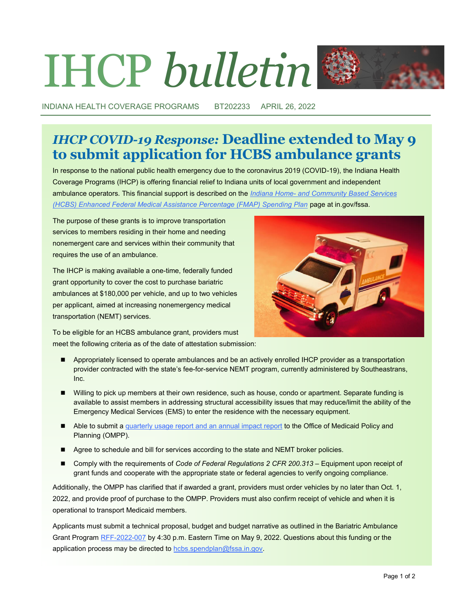# IHCP *bulletin*



INDIANA HEALTH COVERAGE PROGRAMS BT202233 APRIL 26, 2022

## *IHCP COVID-19 Response:* **Deadline extended to May 9 to submit application for HCBS ambulance grants**

In response to the national public health emergency due to the coronavirus 2019 (COVID-19), the Indiana Health Coverage Programs (IHCP) is offering financial relief to Indiana units of local government and independent ambulance operators. This financial support is described on the *Indiana Home- [and Community Based Services](https://www.in.gov/fssa/ompp/hcbs-enhanced-fmap-spending-plan)  [\(HCBS\) Enhanced Federal Medical Assistance Percentage \(FMAP\) Spending Plan](https://www.in.gov/fssa/ompp/hcbs-enhanced-fmap-spending-plan)* page at in.gov/fssa.

The purpose of these grants is to improve transportation services to members residing in their home and needing nonemergent care and services within their community that requires the use of an ambulance.

The IHCP is making available a one-time, federally funded grant opportunity to cover the cost to purchase bariatric ambulances at \$180,000 per vehicle, and up to two vehicles per applicant, aimed at increasing nonemergency medical transportation (NEMT) services.



To be eligible for an HCBS ambulance grant, providers must meet the following criteria as of the date of attestation submission:

- Appropriately licensed to operate ambulances and be an actively enrolled IHCP provider as a transportation provider contracted with the state's fee-for-service NEMT program, currently administered by Southeastrans, Inc.
- Willing to pick up members at their own residence, such as house, condo or apartment. Separate funding is available to assist members in addressing structural accessibility issues that may reduce/limit the ability of the Emergency Medical Services (EMS) to enter the residence with the necessary equipment.
- Able to submit a [quarterly usage report and an annual impact report](https://www.in.gov/fssa/ompp/files/HCBS-Ambulance-Grant-Quarterly-Report-Template.xlsx) to the Office of Medicaid Policy and Planning (OMPP).
- Agree to schedule and bill for services according to the state and NEMT broker policies.
- ◼ Comply with the requirements of *Code of Federal Regulations 2 CFR 200.313* Equipment upon receipt of grant funds and cooperate with the appropriate state or federal agencies to verify ongoing compliance.

Additionally, the OMPP has clarified that if awarded a grant, providers must order vehicles by no later than Oct. 1, 2022, and provide proof of purchase to the OMPP. Providers must also confirm receipt of vehicle and when it is operational to transport Medicaid members.

Applicants must submit a technical proposal, budget and budget narrative as outlined in the Bariatric Ambulance Grant Program RFF-[2022](http://www.in.gov/fssa/ompp/hcbs-enhanced-fmap-spending-plan/bariatric-ambulance-grant-program-now-open/)-007 by 4:30 p.m. Eastern Time on May 9, 2022. Questions about this funding or the application process may be directed to [hcbs.spendplan@fssa.in.gov.](mailto:hcbs.spendplan@fssa.in.gov)